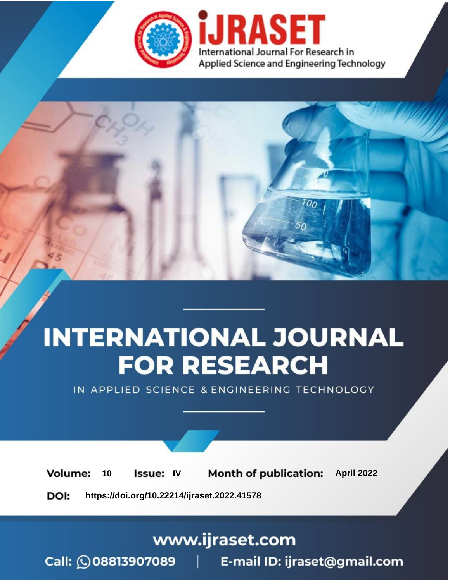

# **INTERNATIONAL JOURNAL FOR RESEARCH**

IN APPLIED SCIENCE & ENGINEERING TECHNOLOGY

10 **Issue: IV Month of publication:** April 2022 **Volume:** 

**https://doi.org/10.22214/ijraset.2022.41578**DOI:

www.ijraset.com

Call: 008813907089 | E-mail ID: ijraset@gmail.com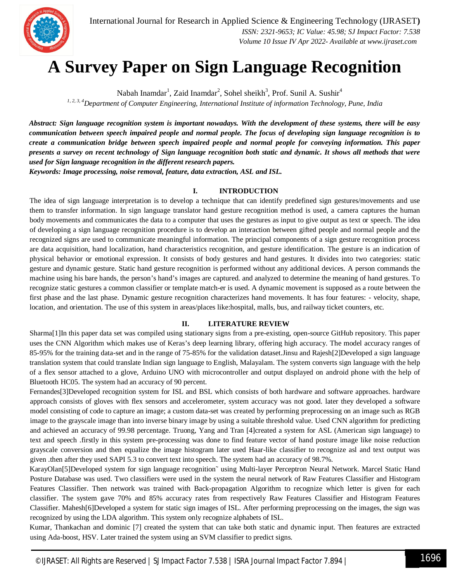

# **A Survey Paper on Sign Language Recognition**

Nabah Inamdar<sup>1</sup>, Zaid Inamdar<sup>2</sup>, Sohel sheikh<sup>3</sup>, Prof. Sunil A. Sushir<sup>4</sup>

*1, 2, 3, 4Department of Computer Engineering, International Institute of information Technology, Pune, India*

*Abstract: Sign language recognition system is important nowadays. With the development of these systems, there will be easy communication between speech impaired people and normal people. The focus of developing sign language recognition is to create a communication bridge between speech impaired people and normal people for conveying information. This paper presents a survey on recent technology of Sign language recognition both static and dynamic. It shows all methods that were used for Sign language recognition in the different research papers. Keywords: Image processing, noise removal, feature, data extraction, ASL and ISL.* 

### **I. INTRODUCTION**

The idea of sign language interpretation is to develop a technique that can identify predefined sign gestures/movements and use them to transfer information. In sign language translator hand gesture recognition method is used, a camera captures the human body movements and communicates the data to a computer that uses the gestures as input to give output as text or speech. The idea of developing a sign language recognition procedure is to develop an interaction between gifted people and normal people and the recognized signs are used to communicate meaningful information. The principal components of a sign gesture recognition process are data acquisition, hand localization, hand characteristics recognition, and gesture identification. The gesture is an indication of physical behavior or emotional expression. It consists of body gestures and hand gestures. It divides into two categories: static gesture and dynamic gesture. Static hand gesture recognition is performed without any additional devices. A person commands the machine using his bare hands, the person's hand's images are captured. and analyzed to determine the meaning of hand gestures. To recognize static gestures a common classifier or template match-er is used. A dynamic movement is supposed as a route between the first phase and the last phase. Dynamic gesture recognition characterizes hand movements. It has four features: - velocity, shape, location, and orientation. The use of this system in areas/places like:hospital, malls, bus, and railway ticket counters, etc.

#### **II. LITERATURE REVIEW**

Sharma[1]In this paper data set was compiled using stationary signs from a pre-existing, open-source GitHub repository. This paper uses the CNN Algorithm which makes use of Keras's deep learning library, offering high accuracy. The model accuracy ranges of 85-95% for the training data-set and in the range of 75-85% for the validation dataset.Jinsu and Rajesh[2]Developed a sign language translation system that could translate Indian sign language to English, Malayalam. The system converts sign language with the help of a flex sensor attached to a glove, Arduino UNO with microcontroller and output displayed on android phone with the help of Bluetooth HC05. The system had an accuracy of 90 percent.

Fernandes[3]Developed recognition system for ISL and BSL which consists of both hardware and software approaches. hardware approach consists of gloves with flex sensors and accelerometer, system accuracy was not good. later they developed a software model consisting of code to capture an image; a custom data-set was created by performing preprocessing on an image such as RGB image to the grayscale image than into inverse binary image by using a suitable threshold value. Used CNN algorithm for predicting and achieved an accuracy of 99.98 percentage. Truong, Yang and Tran [4]created a system for ASL (American sign language) to text and speech .firstly in this system pre-processing was done to find feature vector of hand posture image like noise reduction grayscale conversion and then equalize the image histogram later used Haar-like classifier to recognize asl and text output was given .then after they used SAPI 5.3 to convert text into speech. The system had an accuracy of 98.7%.

KarayOlan[5]Developed system for sign language recognition˜ using Multi-layer Perceptron Neural Network. Marcel Static Hand Posture Database was used. Two classifiers were used in the system the neural network of Raw Features Classifier and Histogram Features Classifier. Then network was trained with Back-propagation Algorithm to recognize which letter is given for each classifier. The system gave 70% and 85% accuracy rates from respectively Raw Features Classifier and Histogram Features Classifier. Mahesh[6]Developed a system for static sign images of ISL. After performing preprocessing on the images, the sign was recognized by using the LDA algorithm. This system only recognize alphabets of ISL.

Kumar, Thankachan and dominic [7] created the system that can take both static and dynamic input. Then features are extracted using Ada-boost, HSV. Later trained the system using an SVM classifier to predict signs.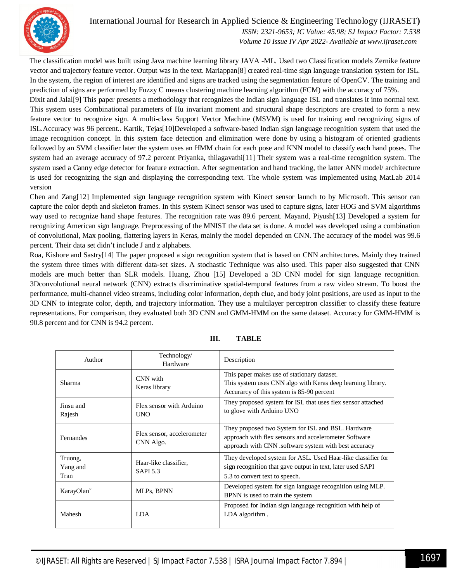

# International Journal for Research in Applied Science & Engineering Technology (IJRASET**)**

 *ISSN: 2321-9653; IC Value: 45.98; SJ Impact Factor: 7.538 Volume 10 Issue IV Apr 2022- Available at www.ijraset.com*

The classification model was built using Java machine learning library JAVA -ML. Used two Classification models Zernike feature vector and trajectory feature vector. Output was in the text. Mariappan[8] created real-time sign language translation system for ISL. In the system, the region of interest are identified and signs are tracked using the segmentation feature of OpenCV. The training and prediction of signs are performed by Fuzzy C means clustering machine learning algorithm (FCM) with the accuracy of 75%.

Dixit and Jalal[9] This paper presents a methodology that recognizes the Indian sign language ISL and translates it into normal text. This system uses Combinational parameters of Hu invariant moment and structural shape descriptors are created to form a new feature vector to recognize sign. A multi-class Support Vector Machine (MSVM) is used for training and recognizing signs of ISL.Accuracy was 96 percent.. Kartik, Tejas[10]Developed a software-based Indian sign language recognition system that used the image recognition concept. In this system face detection and elimination were done by using a histogram of oriented gradients followed by an SVM classifier later the system uses an HMM chain for each pose and KNN model to classify each hand poses. The system had an average accuracy of 97.2 percent Priyanka, thilagavathi[11] Their system was a real-time recognition system. The system used a Canny edge detector for feature extraction. After segmentation and hand tracking, the latter ANN model/ architecture is used for recognizing the sign and displaying the corresponding text. The whole system was implemented using MatLab 2014 version

Chen and Zang[12] Implemented sign language recognition system with Kinect sensor launch to by Microsoft. This sensor can capture the color depth and skeleton frames. In this system Kinect sensor was used to capture signs, later HOG and SVM algorithms way used to recognize hand shape features. The recognition rate was 89.6 percent. Mayand, Piyush[13] Developed a system for recognizing American sign language. Preprocessing of the MNIST the data set is done. A model was developed using a combination of convolutional, Max pooling, flattering layers in Keras, mainly the model depended on CNN. The accuracy of the model was 99.6 percent. Their data set didn't include J and z alphabets.

Roa, Kishore and Sastry[14] The paper proposed a sign recognition system that is based on CNN architectures. Mainly they trained the system three times with different data-set sizes. A stochastic Technique was also used. This paper also suggested that CNN models are much better than SLR models. Huang, Zhou [15] Developed a 3D CNN model for sign language recognition. 3Dconvolutional neural network (CNN) extracts discriminative spatial-temporal features from a raw video stream. To boost the performance, multi-channel video streams, including color information, depth clue, and body joint positions, are used as input to the 3D CNN to integrate color, depth, and trajectory information. They use a multilayer perceptron classifier to classify these feature representations. For comparison, they evaluated both 3D CNN and GMM-HMM on the same dataset. Accuracy for GMM-HMM is 90.8 percent and for CNN is 94.2 percent.

| Author                      | Technology/<br>Hardware                  | Description                                                                                                                                                          |
|-----------------------------|------------------------------------------|----------------------------------------------------------------------------------------------------------------------------------------------------------------------|
| Sharma                      | CNN with<br>Keras library                | This paper makes use of stationary dataset.<br>This system uses CNN algo with Keras deep learning library.<br>Accurary of this system is 85-90 percent               |
| Jinsu and<br>Rajesh         | Flex sensor with Arduino<br><b>UNO</b>   | They proposed system for ISL that uses flex sensor attached<br>to glove with Arduino UNO                                                                             |
| Fernandes                   | Flex sensor, accelerometer<br>CNN Algo.  | They proposed two System for ISL and BSL. Hardware<br>approach with flex sensors and accelerometer Software<br>approach with CNN .software system with best accuracy |
| Truong,<br>Yang and<br>Tran | Haar-like classifier.<br><b>SAPI 5.3</b> | They developed system for ASL. Used Haar-like classifier for<br>sign recognition that gave output in text, later used SAPI<br>5.3 to convert text to speech.         |
| KarayOlan~                  | MLPs, BPNN                               | Developed system for sign language recognition using MLP.<br>BPNN is used to train the system                                                                        |
| Mahesh                      | <b>LDA</b>                               | Proposed for Indian sign language recognition with help of<br>LDA algorithm.                                                                                         |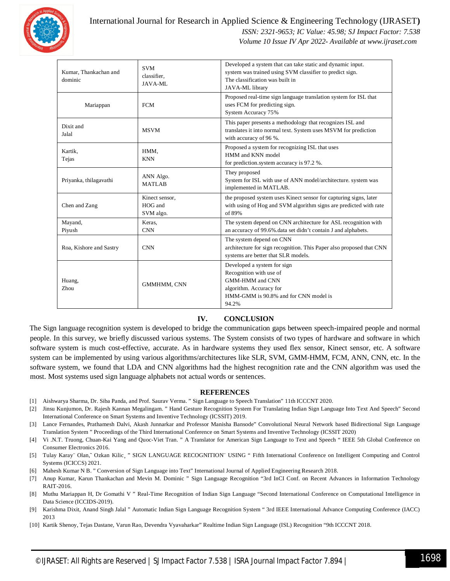

# International Journal for Research in Applied Science & Engineering Technology (IJRASET**)**

 *ISSN: 2321-9653; IC Value: 45.98; SJ Impact Factor: 7.538*

 *Volume 10 Issue IV Apr 2022- Available at www.ijraset.com*

| Kumar, Thankachan and<br>dominic | <b>SVM</b><br>classifier.<br>JAVA-ML   | Developed a system that can take static and dynamic input.<br>system was trained using SVM classifier to predict sign.<br>The classification was built in<br>JAVA-ML library |
|----------------------------------|----------------------------------------|------------------------------------------------------------------------------------------------------------------------------------------------------------------------------|
| Mariappan                        | <b>FCM</b>                             | Proposed real-time sign language translation system for ISL that<br>uses FCM for predicting sign.<br>System Accuracy 75%                                                     |
| Dixit and<br>Jalal               | <b>MSVM</b>                            | This paper presents a methodology that recognizes ISL and<br>translates it into normal text. System uses MSVM for prediction<br>with accuracy of 96 %.                       |
| Kartik,<br>Tejas                 | HMM,<br><b>KNN</b>                     | Proposed a system for recognizing ISL that uses<br>HMM and KNN model<br>for prediction.system accuracy is 97.2 %.                                                            |
| Priyanka, thilagavathi           | ANN Algo.<br><b>MATLAB</b>             | They proposed<br>System for ISL with use of ANN model/architecture. system was<br>implemented in MATLAB.                                                                     |
| Chen and Zang                    | Kinect sensor,<br>HOG and<br>SVM algo. | the proposed system uses Kinect sensor for capturing signs, later<br>with using of Hog and SVM algorithm signs are predicted with rate<br>of 89%                             |
| Mayand,<br>Piyush                | Keras,<br><b>CNN</b>                   | The system depend on CNN architecture for ASL recognition with<br>an accuracy of 99.6% data set didn't contain J and alphabets.                                              |
| Roa, Kishore and Sastry          | <b>CNN</b>                             | The system depend on CNN<br>architecture for sign recognition. This Paper also proposed that CNN<br>systems are better that SLR models.                                      |
| Huang,<br>Zhou                   | GMMHMM, CNN                            | Developed a system for sign<br>Recognition with use of<br><b>GMM-HMM</b> and CNN<br>algorithm. Accuracy for<br>HMM-GMM is 90.8% and for CNN model is<br>94.2%                |

### **IV. CONCLUSION**

The Sign language recognition system is developed to bridge the communication gaps between speech-impaired people and normal people. In this survey, we briefly discussed various systems. The System consists of two types of hardware and software in which software system is much cost-effective, accurate. As in hardware systems they used flex sensor, Kinect sensor, etc. A software system can be implemented by using various algorithms/architectures like SLR, SVM, GMM-HMM, FCM, ANN, CNN, etc. In the software system, we found that LDA and CNN algorithms had the highest recognition rate and the CNN algorithm was used the most. Most systems used sign language alphabets not actual words or sentences.

#### **REFERENCES**

- [1] Aishwarya Sharma, Dr. Siba Panda, and Prof. Saurav Verma. " Sign Language to Speech Translation" 11th ICCCNT 2020.
- [2] Jinsu Kunjumon, Dr. Rajesh Kannan Megalingam. " Hand Gesture Recognition System For Translating Indian Sign Language Into Text And Speech" Second International Conference on Smart Systems and Inventive Technology (ICSSIT) 2019.
- [3] Lance Fernandes, Prathamesh Dalvi, Akash Junnarkar and Professor Manisha Bansode" Convolutional Neural Network based Bidirectional Sign Language Translation System " Proceedings of the Third International Conference on Smart Systems and Inventive Technology (ICSSIT 2020)
- [4] Vi .N.T. Truong, Chuan-Kai Yang and Quoc-Viet Tran. " A Translator for American Sign Language to Text and Speech " IEEE 5th Global Conference on Consumer Electronics 2016.
- [5] Tulay Karay¨ Olan,~ Ozkan Kilic, " SIGN LANGUAGE RECOGNITION¨ USING " Fifth International Conference on Intelligent Computing and Control Systems (ICICCS) 2021.
- [6] Mahesh Kumar N B. " Conversion of Sign Language into Text" International Journal of Applied Engineering Research 2018.
- [7] Anup Kumar, Karun Thankachan and Mevin M. Dominic " Sign Language Recognition "3rd InCI Conf. on Recent Advances in Information Technology RAIT-2016.
- [8] Muthu Mariappan H, Dr Gomathi V " Real-Time Recognition of Indian Sign Language "Second International Conference on Computational Intelligence in Data Science (ICCIDS-2019).
- [9] Karishma Dixit, Anand Singh Jalal " Automatic Indian Sign Language Recognition System " 3rd IEEE International Advance Computing Conference (IACC) 2013
- [10] Kartik Shenoy, Tejas Dastane, Varun Rao, Devendra Vyavaharkar" Realtime Indian Sign Language (ISL) Recognition "9th ICCCNT 2018.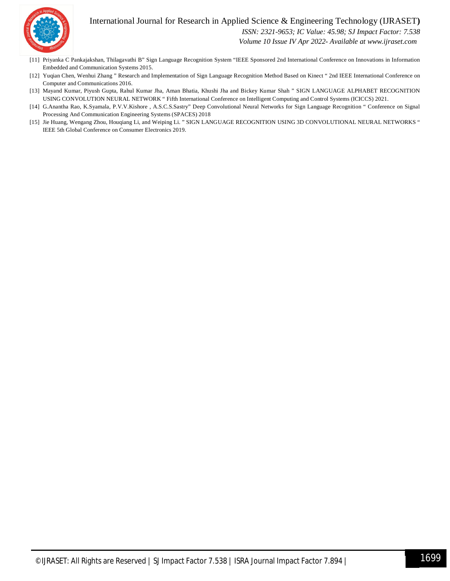## International Journal for Research in Applied Science & Engineering Technology (IJRASET**)**



 *ISSN: 2321-9653; IC Value: 45.98; SJ Impact Factor: 7.538*

 *Volume 10 Issue IV Apr 2022- Available at www.ijraset.com*

- [11] Priyanka C Pankajakshan, Thilagavathi B" Sign Language Recognition System "IEEE Sponsored 2nd International Conference on Innovations in Information Embedded and Communication Systems 2015.
- [12] Yuqian Chen, Wenhui Zhang " Research and Implementation of Sign Language Recognition Method Based on Kinect " 2nd IEEE International Conference on Computer and Communications 2016.
- [13] Mayand Kumar, Piyush Gupta, Rahul Kumar Jha, Aman Bhatia, Khushi Jha and Bickey Kumar Shah " SIGN LANGUAGE ALPHABET RECOGNITION USING CONVOLUTION NEURAL NETWORK " Fifth International Conference on Intelligent Computing and Control Systems (ICICCS) 2021.
- [14] G.Anantha Rao, K.Syamala, P.V.V.Kishore , A.S.C.S.Sastry" Deep Convolutional Neural Networks for Sign Language Recognition " Conference on Signal Processing And Communication Engineering Systems (SPACES) 2018
- [15] Jie Huang, Wengang Zhou, Houqiang Li, and Weiping Li. " SIGN LANGUAGE RECOGNITION USING 3D CONVOLUTIONAL NEURAL NETWORKS " IEEE 5th Global Conference on Consumer Electronics 2019.